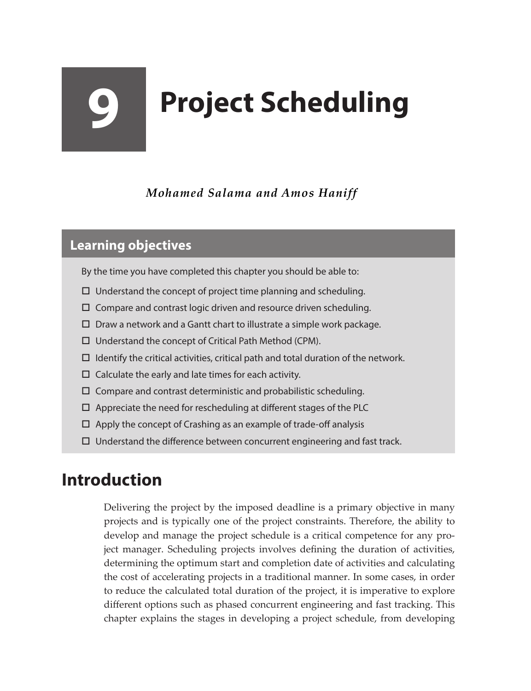# **9 Project Scheduling**

*Mohamed Salama and Amos Haniff*

#### **Learning objectives**

- By the time you have completed this chapter you should be able to:
- $\Box$  Understand the concept of project time planning and scheduling.
- $\Box$  Compare and contrast logic driven and resource driven scheduling.
- $\square$  Draw a network and a Gantt chart to illustrate a simple work package.
- $\Box$  Understand the concept of Critical Path Method (CPM).
- $\Box$  Identify the critical activities, critical path and total duration of the network.
- $\Box$  Calculate the early and late times for each activity.
- $\square$  Compare and contrast deterministic and probabilistic scheduling.
- $\Box$  Appreciate the need for rescheduling at different stages of the PLC
- $\Box$  Apply the concept of Crashing as an example of trade-off analysis
- $\Box$  Understand the difference between concurrent engineering and fast track.

## **Introduction**

Delivering the project by the imposed deadline is a primary objective in many projects and is typically one of the project constraints. Therefore, the ability to develop and manage the project schedule is a critical competence for any project manager. Scheduling projects involves defining the duration of activities, determining the optimum start and completion date of activities and calculating the cost of accelerating projects in a traditional manner. In some cases, in order to reduce the calculated total duration of the project, it is imperative to explore different options such as phased concurrent engineering and fast tracking. This chapter explains the stages in developing a project schedule, from developing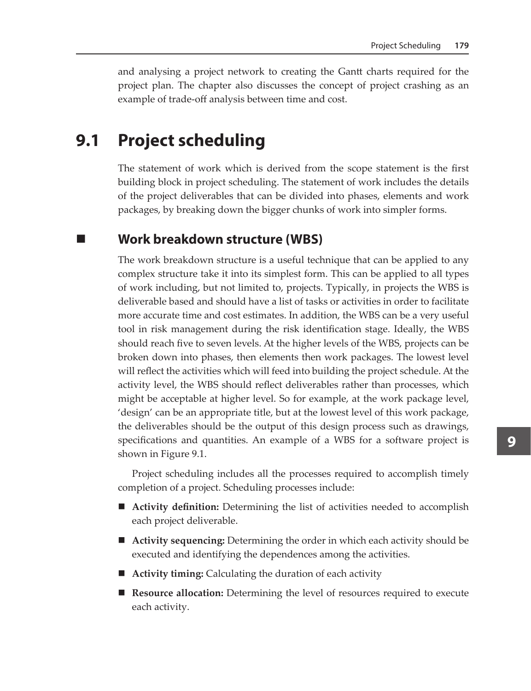and analysing a project network to creating the Gantt charts required for the project plan. The chapter also discusses the concept of project crashing as an example of trade-off analysis between time and cost.

#### **9.1 Project scheduling**

The statement of work which is derived from the scope statement is the first building block in project scheduling. The statement of work includes the details of the project deliverables that can be divided into phases, elements and work packages, by breaking down the bigger chunks of work into simpler forms.

#### **Work breakdown structure (WBS)**

The work breakdown structure is a useful technique that can be applied to any complex structure take it into its simplest form. This can be applied to all types of work including, but not limited to, projects. Typically, in projects the WBS is deliverable based and should have a list of tasks or activities in order to facilitate more accurate time and cost estimates. In addition, the WBS can be a very useful tool in risk management during the risk identification stage. Ideally, the WBS should reach five to seven levels. At the higher levels of the WBS, projects can be broken down into phases, then elements then work packages. The lowest level will reflect the activities which will feed into building the project schedule. At the activity level, the WBS should reflect deliverables rather than processes, which might be acceptable at higher level. So for example, at the work package level, 'design' can be an appropriate title, but at the lowest level of this work package, the deliverables should be the output of this design process such as drawings, specifications and quantities. An example of a WBS for a software project is shown in Figure 9.1.

Project scheduling includes all the processes required to accomplish timely completion of a project. Scheduling processes include:

- **Activity definition:** Determining the list of activities needed to accomplish each project deliverable.
- **Activity sequencing:** Determining the order in which each activity should be executed and identifying the dependences among the activities.
- **Activity timing:** Calculating the duration of each activity
- **Resource allocation:** Determining the level of resources required to execute each activity.